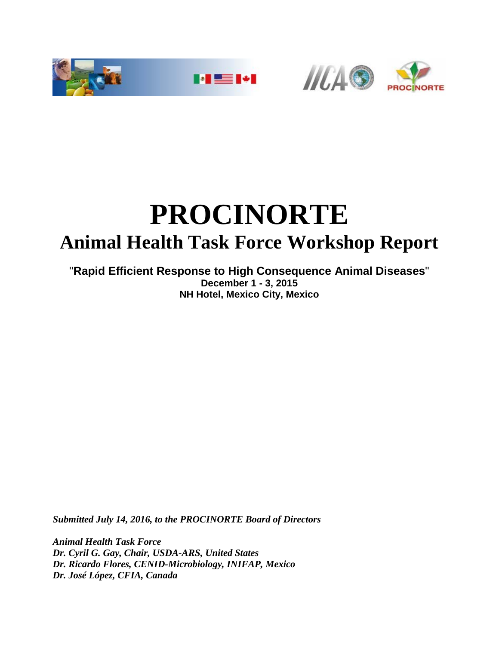



# **PROCINORTE Animal Health Task Force Workshop Report**

### "**Rapid Efficient Response to High Consequence Animal Diseases**" **December 1 - 3, 2015 NH Hotel, Mexico City, Mexico**

*Submitted July 14, 2016, to the PROCINORTE Board of Directors*

*Animal Health Task Force Dr. Cyril G. Gay, Chair, USDA-ARS, United States Dr. Ricardo Flores, CENID-Microbiology, INIFAP, Mexico Dr. José López, CFIA, Canada*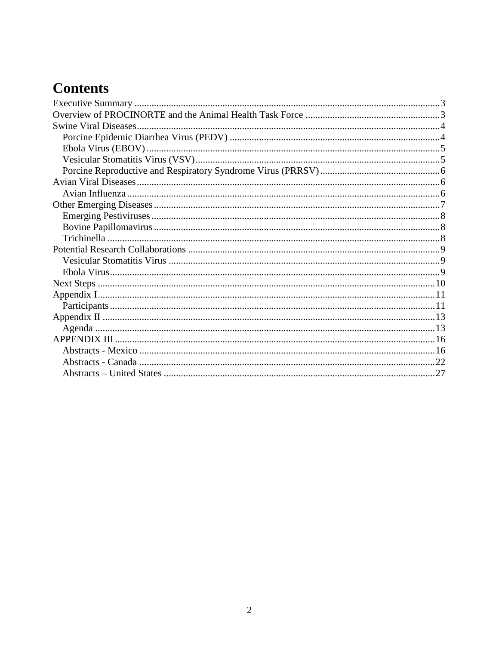# **Contents**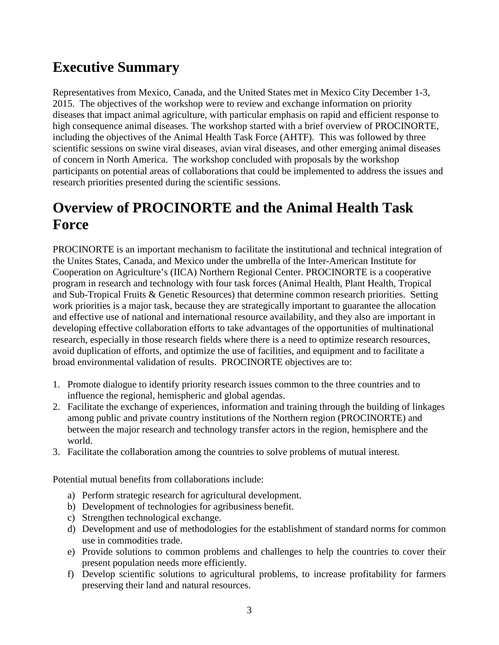# <span id="page-2-0"></span>**Executive Summary**

Representatives from Mexico, Canada, and the United States met in Mexico City December 1-3, 2015. The objectives of the workshop were to review and exchange information on priority diseases that impact animal agriculture, with particular emphasis on rapid and efficient response to high consequence animal diseases. The workshop started with a brief overview of PROCINORTE, including the objectives of the Animal Health Task Force (AHTF). This was followed by three scientific sessions on swine viral diseases, avian viral diseases, and other emerging animal diseases of concern in North America. The workshop concluded with proposals by the workshop participants on potential areas of collaborations that could be implemented to address the issues and research priorities presented during the scientific sessions.

# <span id="page-2-1"></span>**Overview of PROCINORTE and the Animal Health Task Force**

PROCINORTE is an important mechanism to facilitate the institutional and technical integration of the Unites States, Canada, and Mexico under the umbrella of the Inter-American Institute for Cooperation on Agriculture's (IICA) Northern Regional Center. PROCINORTE is a cooperative program in research and technology with four task forces (Animal Health, Plant Health, Tropical and Sub-Tropical Fruits & Genetic Resources) that determine common research priorities. Setting work priorities is a major task, because they are strategically important to guarantee the allocation and effective use of national and international resource availability, and they also are important in developing effective collaboration efforts to take advantages of the opportunities of multinational research, especially in those research fields where there is a need to optimize research resources, avoid duplication of efforts, and optimize the use of facilities, and equipment and to facilitate a broad environmental validation of results. PROCINORTE objectives are to:

- 1. Promote dialogue to identify priority research issues common to the three countries and to influence the regional, hemispheric and global agendas.
- 2. Facilitate the exchange of experiences, information and training through the building of linkages among public and private country institutions of the Northern region (PROCINORTE) and between the major research and technology transfer actors in the region, hemisphere and the world.
- 3. Facilitate the collaboration among the countries to solve problems of mutual interest.

Potential mutual benefits from collaborations include:

- a) Perform strategic research for agricultural development.
- b) Development of technologies for agribusiness benefit.
- c) Strengthen technological exchange.
- d) Development and use of methodologies for the establishment of standard norms for common use in commodities trade.
- e) Provide solutions to common problems and challenges to help the countries to cover their present population needs more efficiently.
- f) Develop scientific solutions to agricultural problems, to increase profitability for farmers preserving their land and natural resources.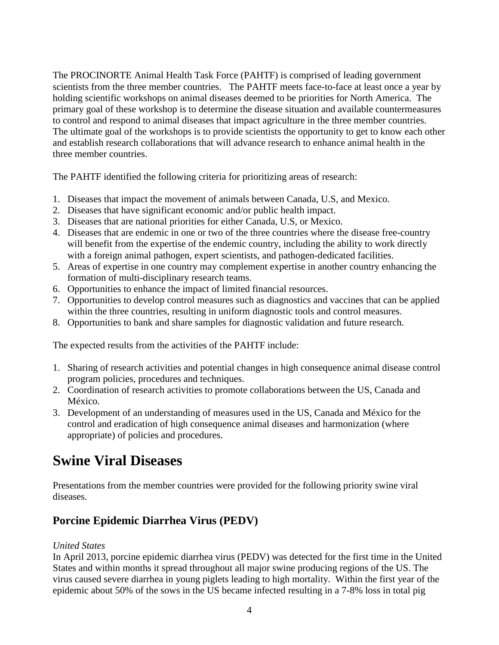The PROCINORTE Animal Health Task Force (PAHTF) is comprised of leading government scientists from the three member countries. The PAHTF meets face-to-face at least once a year by holding scientific workshops on animal diseases deemed to be priorities for North America. The primary goal of these workshop is to determine the disease situation and available countermeasures to control and respond to animal diseases that impact agriculture in the three member countries. The ultimate goal of the workshops is to provide scientists the opportunity to get to know each other and establish research collaborations that will advance research to enhance animal health in the three member countries.

The PAHTF identified the following criteria for prioritizing areas of research:

- 1. Diseases that impact the movement of animals between Canada, U.S, and Mexico.
- 2. Diseases that have significant economic and/or public health impact.
- 3. Diseases that are national priorities for either Canada, U.S, or Mexico.
- 4. Diseases that are endemic in one or two of the three countries where the disease free-country will benefit from the expertise of the endemic country, including the ability to work directly with a foreign animal pathogen, expert scientists, and pathogen-dedicated facilities.
- 5. Areas of expertise in one country may complement expertise in another country enhancing the formation of multi-disciplinary research teams.
- 6. Opportunities to enhance the impact of limited financial resources.
- 7. Opportunities to develop control measures such as diagnostics and vaccines that can be applied within the three countries, resulting in uniform diagnostic tools and control measures.
- 8. Opportunities to bank and share samples for diagnostic validation and future research.

The expected results from the activities of the PAHTF include:

- 1. Sharing of research activities and potential changes in high consequence animal disease control program policies, procedures and techniques.
- 2. Coordination of research activities to promote collaborations between the US, Canada and México.
- 3. Development of an understanding of measures used in the US, Canada and México for the control and eradication of high consequence animal diseases and harmonization (where appropriate) of policies and procedures.

# <span id="page-3-0"></span>**Swine Viral Diseases**

Presentations from the member countries were provided for the following priority swine viral diseases.

# <span id="page-3-1"></span>**Porcine Epidemic Diarrhea Virus (PEDV)**

#### *United States*

In April 2013, porcine epidemic diarrhea virus (PEDV) was detected for the first time in the United States and within months it spread throughout all major swine producing regions of the US. The virus caused severe diarrhea in young piglets leading to high mortality. Within the first year of the epidemic about 50% of the sows in the US became infected resulting in a 7-8% loss in total pig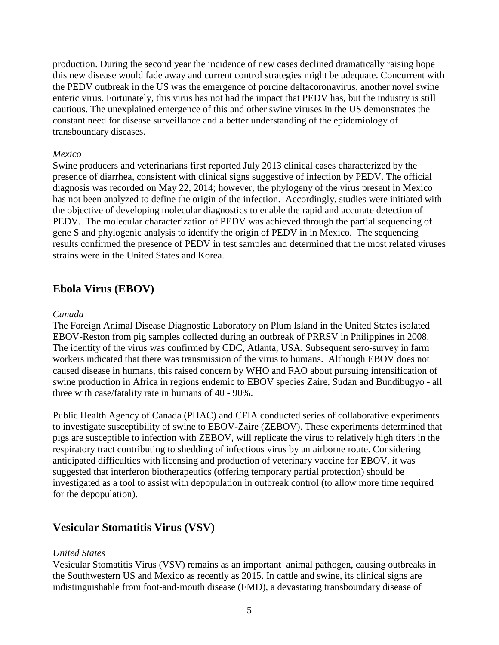production. During the second year the incidence of new cases declined dramatically raising hope this new disease would fade away and current control strategies might be adequate. Concurrent with the PEDV outbreak in the US was the emergence of porcine deltacoronavirus, another novel swine enteric virus. Fortunately, this virus has not had the impact that PEDV has, but the industry is still cautious. The unexplained emergence of this and other swine viruses in the US demonstrates the constant need for disease surveillance and a better understanding of the epidemiology of transboundary diseases.

#### *Mexico*

Swine producers and veterinarians first reported July 2013 clinical cases characterized by the presence of diarrhea, consistent with clinical signs suggestive of infection by PEDV. The official diagnosis was recorded on May 22, 2014; however, the phylogeny of the virus present in Mexico has not been analyzed to define the origin of the infection. Accordingly, studies were initiated with the objective of developing molecular diagnostics to enable the rapid and accurate detection of PEDV. The molecular characterization of PEDV was achieved through the partial sequencing of gene S and phylogenic analysis to identify the origin of PEDV in in Mexico. The sequencing results confirmed the presence of PEDV in test samples and determined that the most related viruses strains were in the United States and Korea.

### <span id="page-4-0"></span>**Ebola Virus (EBOV)**

#### *Canada*

The Foreign Animal Disease Diagnostic Laboratory on Plum Island in the United States isolated EBOV-Reston from pig samples collected during an outbreak of PRRSV in Philippines in 2008. The identity of the virus was confirmed by CDC, Atlanta, USA. Subsequent sero-survey in farm workers indicated that there was transmission of the virus to humans. Although EBOV does not caused disease in humans, this raised concern by WHO and FAO about pursuing intensification of swine production in Africa in regions endemic to EBOV species Zaire, Sudan and Bundibugyo - all three with case/fatality rate in humans of 40 - 90%.

Public Health Agency of Canada (PHAC) and CFIA conducted series of collaborative experiments to investigate susceptibility of swine to EBOV-Zaire (ZEBOV). These experiments determined that pigs are susceptible to infection with ZEBOV, will replicate the virus to relatively high titers in the respiratory tract contributing to shedding of infectious virus by an airborne route. Considering anticipated difficulties with licensing and production of veterinary vaccine for EBOV, it was suggested that interferon biotherapeutics (offering temporary partial protection) should be investigated as a tool to assist with depopulation in outbreak control (to allow more time required for the depopulation).

# <span id="page-4-1"></span>**Vesicular Stomatitis Virus (VSV)**

#### *United States*

Vesicular Stomatitis Virus (VSV) remains as an important animal pathogen, causing outbreaks in the Southwestern US and Mexico as recently as 2015. In cattle and swine, its clinical signs are indistinguishable from foot-and-mouth disease (FMD), a devastating transboundary disease of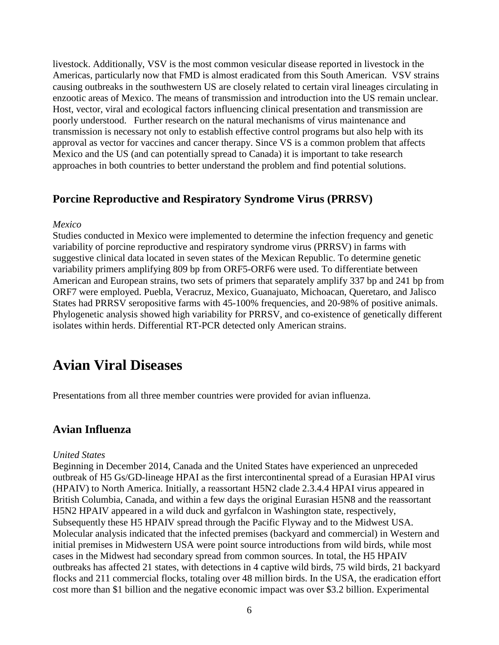livestock. Additionally, VSV is the most common vesicular disease reported in livestock in the Americas, particularly now that FMD is almost eradicated from this South American. VSV strains causing outbreaks in the southwestern US are closely related to certain viral lineages circulating in enzootic areas of Mexico. The means of transmission and introduction into the US remain unclear. Host, vector, viral and ecological factors influencing clinical presentation and transmission are poorly understood. Further research on the natural mechanisms of virus maintenance and transmission is necessary not only to establish effective control programs but also help with its approval as vector for vaccines and cancer therapy. Since VS is a common problem that affects Mexico and the US (and can potentially spread to Canada) it is important to take research approaches in both countries to better understand the problem and find potential solutions.

# <span id="page-5-0"></span>**Porcine Reproductive and Respiratory Syndrome Virus (PRRSV)**

#### *Mexico*

Studies conducted in Mexico were implemented to determine the infection frequency and genetic variability of porcine reproductive and respiratory syndrome virus (PRRSV) in farms with suggestive clinical data located in seven states of the Mexican Republic. To determine genetic variability primers amplifying 809 bp from ORF5-ORF6 were used. To differentiate between American and European strains, two sets of primers that separately amplify 337 bp and 241 bp from ORF7 were employed. Puebla, Veracruz, Mexico, Guanajuato, Michoacan, Queretaro, and Jalisco States had PRRSV seropositive farms with 45-100% frequencies, and 20-98% of positive animals. Phylogenetic analysis showed high variability for PRRSV, and co-existence of genetically different isolates within herds. Differential RT-PCR detected only American strains.

# <span id="page-5-1"></span>**Avian Viral Diseases**

Presentations from all three member countries were provided for avian influenza.

### <span id="page-5-2"></span>**Avian Influenza**

#### *United States*

Beginning in December 2014, Canada and the United States have experienced an unpreceded outbreak of H5 Gs/GD-lineage HPAI as the first intercontinental spread of a Eurasian HPAI virus (HPAIV) to North America. Initially, a reassortant H5N2 clade 2.3.4.4 HPAI virus appeared in British Columbia, Canada, and within a few days the original Eurasian H5N8 and the reassortant H5N2 HPAIV appeared in a wild duck and gyrfalcon in Washington state, respectively, Subsequently these H5 HPAIV spread through the Pacific Flyway and to the Midwest USA. Molecular analysis indicated that the infected premises (backyard and commercial) in Western and initial premises in Midwestern USA were point source introductions from wild birds, while most cases in the Midwest had secondary spread from common sources. In total, the H5 HPAIV outbreaks has affected 21 states, with detections in 4 captive wild birds, 75 wild birds, 21 backyard flocks and 211 commercial flocks, totaling over 48 million birds. In the USA, the eradication effort cost more than \$1 billion and the negative economic impact was over \$3.2 billion. Experimental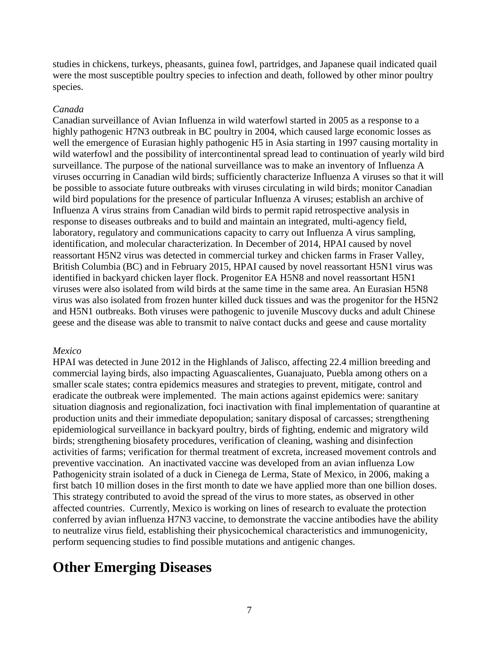studies in chickens, turkeys, pheasants, guinea fowl, partridges, and Japanese quail indicated quail were the most susceptible poultry species to infection and death, followed by other minor poultry species.

#### *Canada*

Canadian surveillance of Avian Influenza in wild waterfowl started in 2005 as a response to a highly pathogenic H7N3 outbreak in BC poultry in 2004, which caused large economic losses as well the emergence of Eurasian highly pathogenic H5 in Asia starting in 1997 causing mortality in wild waterfowl and the possibility of intercontinental spread lead to continuation of yearly wild bird surveillance. The purpose of the national surveillance was to make an inventory of Influenza A viruses occurring in Canadian wild birds; sufficiently characterize Influenza A viruses so that it will be possible to associate future outbreaks with viruses circulating in wild birds; monitor Canadian wild bird populations for the presence of particular Influenza A viruses; establish an archive of Influenza A virus strains from Canadian wild birds to permit rapid retrospective analysis in response to diseases outbreaks and to build and maintain an integrated, multi-agency field, laboratory, regulatory and communications capacity to carry out Influenza A virus sampling, identification, and molecular characterization. In December of 2014, HPAI caused by novel reassortant H5N2 virus was detected in commercial turkey and chicken farms in Fraser Valley, British Columbia (BC) and in February 2015, HPAI caused by novel reassortant H5N1 virus was identified in backyard chicken layer flock. Progenitor EA H5N8 and novel reassortant H5N1 viruses were also isolated from wild birds at the same time in the same area. An Eurasian H5N8 virus was also isolated from frozen hunter killed duck tissues and was the progenitor for the H5N2 and H5N1 outbreaks. Both viruses were pathogenic to juvenile Muscovy ducks and adult Chinese geese and the disease was able to transmit to naïve contact ducks and geese and cause mortality

#### *Mexico*

HPAI was detected in June 2012 in the Highlands of Jalisco, affecting 22.4 million breeding and commercial laying birds, also impacting Aguascalientes, Guanajuato, Puebla among others on a smaller scale states; contra epidemics measures and strategies to prevent, mitigate, control and eradicate the outbreak were implemented. The main actions against epidemics were: sanitary situation diagnosis and regionalization, foci inactivation with final implementation of quarantine at production units and their immediate depopulation; sanitary disposal of carcasses; strengthening epidemiological surveillance in backyard poultry, birds of fighting, endemic and migratory wild birds; strengthening biosafety procedures, verification of cleaning, washing and disinfection activities of farms; verification for thermal treatment of excreta, increased movement controls and preventive vaccination. An inactivated vaccine was developed from an avian influenza Low Pathogenicity strain isolated of a duck in Cienega de Lerma, State of Mexico, in 2006, making a first batch 10 million doses in the first month to date we have applied more than one billion doses. This strategy contributed to avoid the spread of the virus to more states, as observed in other affected countries. Currently, Mexico is working on lines of research to evaluate the protection conferred by avian influenza H7N3 vaccine, to demonstrate the vaccine antibodies have the ability to neutralize virus field, establishing their physicochemical characteristics and immunogenicity, perform sequencing studies to find possible mutations and antigenic changes.

# <span id="page-6-0"></span>**Other Emerging Diseases**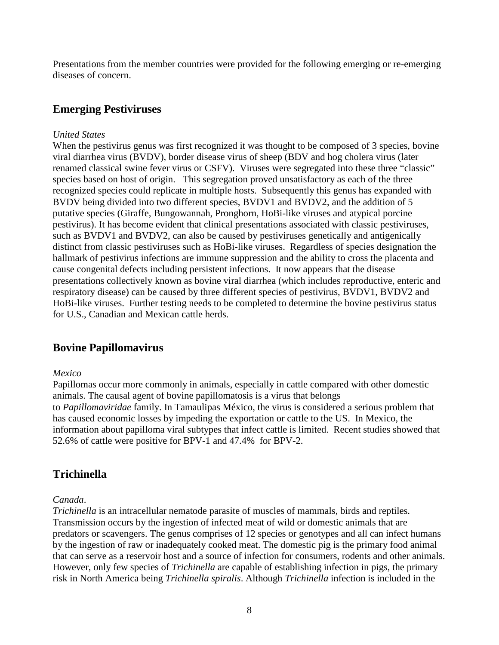Presentations from the member countries were provided for the following emerging or re-emerging diseases of concern.

# <span id="page-7-0"></span>**Emerging Pestiviruses**

#### *United States*

When the pestivirus genus was first recognized it was thought to be composed of 3 species, bovine viral diarrhea virus (BVDV), border disease virus of sheep (BDV and hog cholera virus (later renamed classical swine fever virus or CSFV). Viruses were segregated into these three "classic" species based on host of origin. This segregation proved unsatisfactory as each of the three recognized species could replicate in multiple hosts. Subsequently this genus has expanded with BVDV being divided into two different species, BVDV1 and BVDV2, and the addition of 5 putative species (Giraffe, Bungowannah, Pronghorn, HoBi-like viruses and atypical porcine pestivirus). It has become evident that clinical presentations associated with classic pestiviruses, such as BVDV1 and BVDV2, can also be caused by pestiviruses genetically and antigenically distinct from classic pestiviruses such as HoBi-like viruses. Regardless of species designation the hallmark of pestivirus infections are immune suppression and the ability to cross the placenta and cause congenital defects including persistent infections. It now appears that the disease presentations collectively known as bovine viral diarrhea (which includes reproductive, enteric and respiratory disease) can be caused by three different species of pestivirus, BVDV1, BVDV2 and HoBi-like viruses. Further testing needs to be completed to determine the bovine pestivirus status for U.S., Canadian and Mexican cattle herds.

# <span id="page-7-1"></span>**Bovine Papillomavirus**

#### *Mexico*

Papillomas occur more commonly in animals, especially in cattle compared with other domestic animals. The causal agent of bovine papillomatosis is a virus that belongs to *Papillomaviridae* family. In Tamaulipas México, the virus is considered a serious problem that has caused economic losses by impeding the exportation or cattle to the US. In Mexico, the information about papilloma viral subtypes that infect cattle is limited. Recent studies showed that 52.6% of cattle were positive for BPV-1 and 47.4% for BPV-2.

# <span id="page-7-2"></span>**Trichinella**

#### *Canada*.

*Trichinella* is an intracellular nematode parasite of muscles of mammals, birds and reptiles. Transmission occurs by the ingestion of infected meat of wild or domestic animals that are predators or scavengers. The genus comprises of 12 species or genotypes and all can infect humans by the ingestion of raw or inadequately cooked meat. The domestic pig is the primary food animal that can serve as a reservoir host and a source of infection for consumers, rodents and other animals. However, only few species of *Trichinella* are capable of establishing infection in pigs, the primary risk in North America being *Trichinella spiralis*. Although *Trichinella* infection is included in the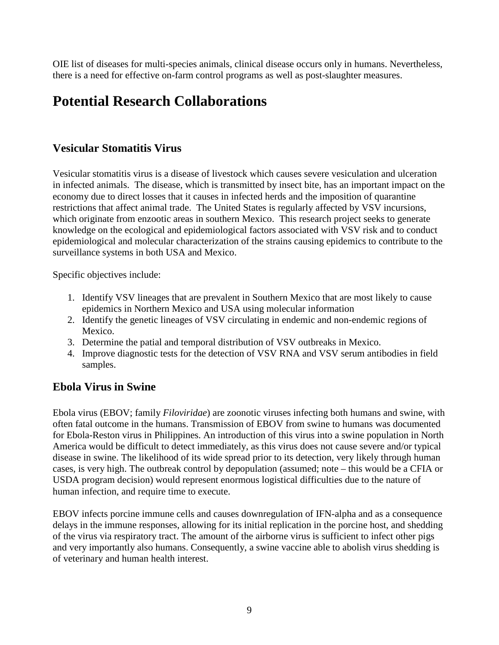OIE list of diseases for multi-species animals, clinical disease occurs only in humans. Nevertheless, there is a need for effective on-farm control programs as well as post-slaughter measures.

# <span id="page-8-0"></span>**Potential Research Collaborations**

# <span id="page-8-1"></span>**Vesicular Stomatitis Virus**

Vesicular stomatitis virus is a disease of livestock which causes severe vesiculation and ulceration in infected animals. The disease, which is transmitted by insect bite, has an important impact on the economy due to direct losses that it causes in infected herds and the imposition of quarantine restrictions that affect animal trade. The United States is regularly affected by VSV incursions, which originate from enzootic areas in southern Mexico. This research project seeks to generate knowledge on the ecological and epidemiological factors associated with VSV risk and to conduct epidemiological and molecular characterization of the strains causing epidemics to contribute to the surveillance systems in both USA and Mexico.

Specific objectives include:

- 1. Identify VSV lineages that are prevalent in Southern Mexico that are most likely to cause epidemics in Northern Mexico and USA using molecular information
- 2. Identify the genetic lineages of VSV circulating in endemic and non-endemic regions of Mexico.
- 3. Determine the patial and temporal distribution of VSV outbreaks in Mexico.
- 4. Improve diagnostic tests for the detection of VSV RNA and VSV serum antibodies in field samples.

# <span id="page-8-2"></span>**Ebola Virus in Swine**

Ebola virus (EBOV; family *Filoviridae*) are zoonotic viruses infecting both humans and swine, with often fatal outcome in the humans. Transmission of EBOV from swine to humans was documented for Ebola-Reston virus in Philippines. An introduction of this virus into a swine population in North America would be difficult to detect immediately, as this virus does not cause severe and/or typical disease in swine. The likelihood of its wide spread prior to its detection, very likely through human cases, is very high. The outbreak control by depopulation (assumed; note – this would be a CFIA or USDA program decision) would represent enormous logistical difficulties due to the nature of human infection, and require time to execute.

EBOV infects porcine immune cells and causes downregulation of IFN-alpha and as a consequence delays in the immune responses, allowing for its initial replication in the porcine host, and shedding of the virus via respiratory tract. The amount of the airborne virus is sufficient to infect other pigs and very importantly also humans. Consequently, a swine vaccine able to abolish virus shedding is of veterinary and human health interest.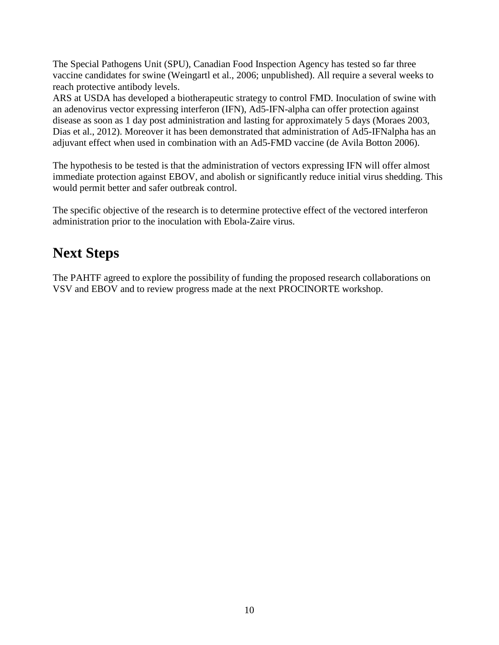The Special Pathogens Unit (SPU), Canadian Food Inspection Agency has tested so far three vaccine candidates for swine (Weingartl et al., 2006; unpublished). All require a several weeks to reach protective antibody levels.

ARS at USDA has developed a biotherapeutic strategy to control FMD. Inoculation of swine with an adenovirus vector expressing interferon (IFN), Ad5-IFN-alpha can offer protection against disease as soon as 1 day post administration and lasting for approximately 5 days (Moraes 2003, Dias et al., 2012). Moreover it has been demonstrated that administration of Ad5-IFNalpha has an adjuvant effect when used in combination with an Ad5-FMD vaccine (de Avila Botton 2006).

The hypothesis to be tested is that the administration of vectors expressing IFN will offer almost immediate protection against EBOV, and abolish or significantly reduce initial virus shedding. This would permit better and safer outbreak control.

The specific objective of the research is to determine protective effect of the vectored interferon administration prior to the inoculation with Ebola-Zaire virus.

# <span id="page-9-0"></span>**Next Steps**

The PAHTF agreed to explore the possibility of funding the proposed research collaborations on VSV and EBOV and to review progress made at the next PROCINORTE workshop.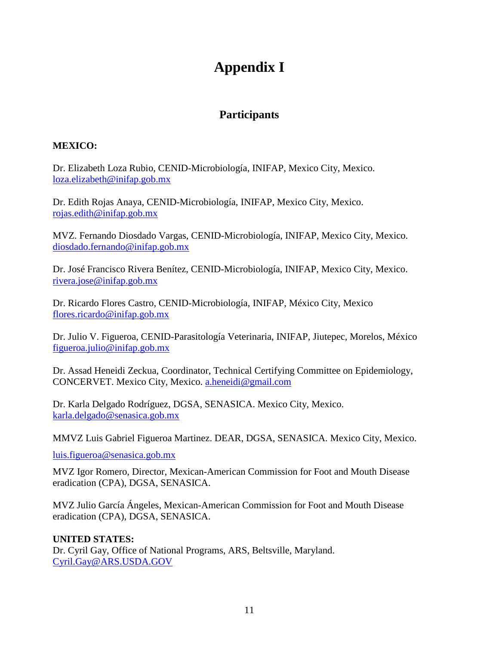# **Appendix I**

# **Participants**

### <span id="page-10-1"></span><span id="page-10-0"></span>**MEXICO:**

Dr. Elizabeth Loza Rubio, CENID-Microbiología, INIFAP, Mexico City, Mexico. [loza.elizabeth@inifap.gob.mx](mailto:loza.elizabeth@inifap.gob.mx)

Dr. Edith Rojas Anaya, CENID-Microbiología, INIFAP, Mexico City, Mexico. [rojas.edith@inifap.gob.mx](mailto:rojas.edith@inifap.gob.mx)

MVZ. Fernando Diosdado Vargas, CENID-Microbiología, INIFAP, Mexico City, Mexico. [diosdado.fernando@inifap.gob.mx](mailto:diosdado.fernando@inifap.gob.mx)

Dr. José Francisco Rivera Benítez, CENID-Microbiología, INIFAP, Mexico City, Mexico. [rivera.jose@inifap.gob.mx](mailto:rivera.jose@inifap.gob.mx)

Dr. Ricardo Flores Castro, CENID-Microbiología, INIFAP, México City, Mexico [flores.ricardo@inifap.gob.mx](mailto:flores.ricardo@inifap.gob.mx)

Dr. Julio V. Figueroa, CENID-Parasitología Veterinaria, INIFAP, Jiutepec, Morelos, México [figueroa.julio@inifap.gob.mx](mailto:figueroa.julio@inifap.gob.mx)

Dr. Assad Heneidi Zeckua, Coordinator, Technical Certifying Committee on Epidemiology, CONCERVET. Mexico City, Mexico. [a.heneidi@gmail.com](mailto:a.heneidi@gmail.com)

Dr. Karla Delgado Rodríguez, DGSA, SENASICA. Mexico City, Mexico. [karla.delgado@senasica.gob.mx](mailto:karla.delgado@senasica.gob.mx)

MMVZ Luis Gabriel Figueroa Martinez. DEAR, DGSA, SENASICA. Mexico City, Mexico.

[luis.figueroa@senasica.gob.mx](mailto:luis.figueroa@senasica.gob.mx)

MVZ Igor Romero, Director, Mexican-American Commission for Foot and Mouth Disease eradication (CPA), DGSA, SENASICA.

MVZ Julio García Ángeles, Mexican-American Commission for Foot and Mouth Disease eradication (CPA), DGSA, SENASICA.

### **UNITED STATES:**

Dr. Cyril Gay, Office of National Programs, ARS, Beltsville, Maryland. [Cyril.Gay@ARS.USDA.GOV](mailto:Cyril.Gay@ARS.USDA.GOV)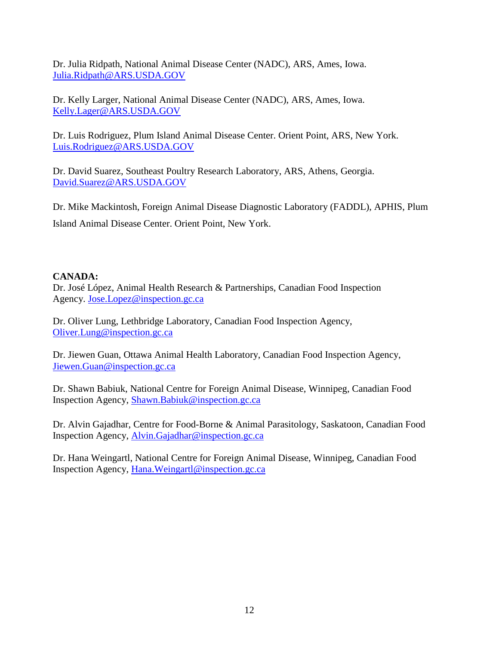Dr. Julia Ridpath, National Animal Disease Center (NADC), ARS, Ames, Iowa. [Julia.Ridpath@ARS.USDA.GOV](mailto:Julia.Ridpath@ARS.USDA.GOV)

Dr. Kelly Larger, National Animal Disease Center (NADC), ARS, Ames, Iowa. [Kelly.Lager@ARS.USDA.GOV](mailto:Kelly.Lager@ARS.USDA.GOV)

Dr. Luis Rodriguez, Plum Island Animal Disease Center. Orient Point, ARS, New York. [Luis.Rodriguez@ARS.USDA.GOV](mailto:Luis.Rodriguez@ARS.USDA.GOV)

Dr. David Suarez, Southeast Poultry Research Laboratory, ARS, Athens, Georgia. [David.Suarez@ARS.USDA.GOV](mailto:David.Suarez@ARS.USDA.GOV)

Dr. Mike Mackintosh, Foreign Animal Disease Diagnostic Laboratory (FADDL), APHIS, Plum Island Animal Disease Center. Orient Point, New York.

#### **CANADA:**

Dr. José López, Animal Health Research & Partnerships, Canadian Food Inspection Agency. [Jose.Lopez@inspection.gc.ca](mailto:Jose.Lopez@inspection.gc.ca)

Dr. Oliver Lung, Lethbridge Laboratory, Canadian Food Inspection Agency, [Oliver.Lung@inspection.gc.ca](mailto:Oliver.Lung@inspection.gc.ca)

Dr. Jiewen Guan, Ottawa Animal Health Laboratory, Canadian Food Inspection Agency, [Jiewen.Guan@inspection.gc.ca](mailto:Jiewen.Guan@inspection.gc.ca)

Dr. Shawn Babiuk, National Centre for Foreign Animal Disease, Winnipeg, Canadian Food Inspection Agency, [Shawn.Babiuk@inspection.gc.ca](mailto:Shawn.Babiuk@inspection.gc.ca)

Dr. Alvin Gajadhar, Centre for Food-Borne & Animal Parasitology, Saskatoon, Canadian Food Inspection Agency, [Alvin.Gajadhar@inspection.gc.ca](mailto:Alvin.Gajadhar@inspection.gc.ca)

Dr. Hana Weingartl, National Centre for Foreign Animal Disease, Winnipeg, Canadian Food Inspection Agency, [Hana.Weingartl@inspection.gc.ca](mailto:Hana.Weingartl@inspection.gc.ca)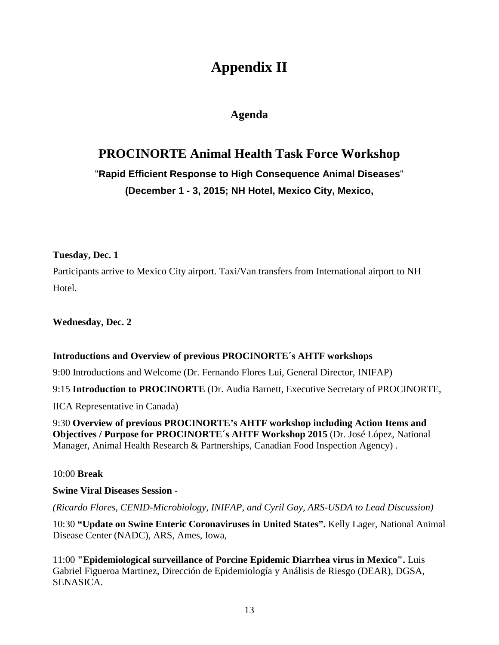# **Appendix II**

# **Agenda**

# <span id="page-12-1"></span><span id="page-12-0"></span>**PROCINORTE Animal Health Task Force Workshop**

# "**Rapid Efficient Response to High Consequence Animal Diseases**" **(December 1 - 3, 2015; NH Hotel, Mexico City, Mexico,**

#### **Tuesday, Dec. 1**

Participants arrive to Mexico City airport. Taxi/Van transfers from International airport to NH Hotel.

**Wednesday, Dec. 2**

#### **Introductions and Overview of previous PROCINORTE´s AHTF workshops**

9:00 Introductions and Welcome (Dr. Fernando Flores Lui, General Director, INIFAP)

9:15 **Introduction to PROCINORTE** (Dr. Audia Barnett, Executive Secretary of PROCINORTE,

IICA Representative in Canada)

9:30 **Overview of previous PROCINORTE's AHTF workshop including Action Items and Objectives / Purpose for PROCINORTE´s AHTF Workshop 2015** (Dr. José López, National Manager, Animal Health Research & Partnerships, Canadian Food Inspection Agency) .

10:00 **Break**

#### **Swine Viral Diseases Session -**

*(Ricardo Flores, CENID-Microbiology, INIFAP, and Cyril Gay, ARS-USDA to Lead Discussion)*

10:30 **"Update on Swine Enteric Coronaviruses in United States".** Kelly Lager, National Animal Disease Center (NADC), ARS, Ames, Iowa,

11:00 **"Epidemiological surveillance of Porcine Epidemic Diarrhea virus in Mexico".** Luis Gabriel Figueroa Martinez, Dirección de Epidemiología y Análisis de Riesgo (DEAR), DGSA, SENASICA.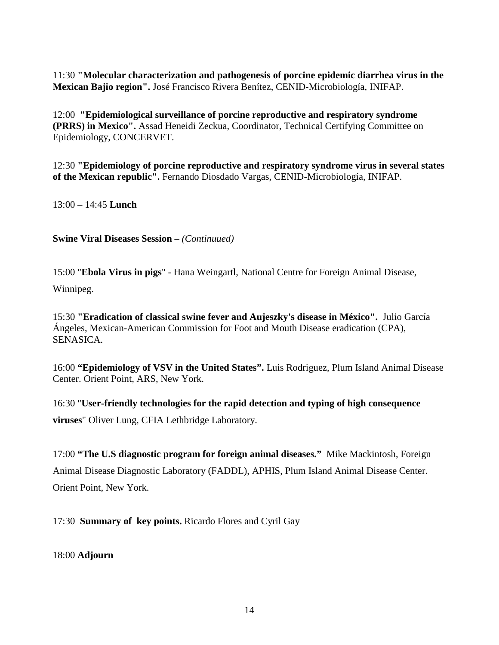11:30 **"Molecular characterization and pathogenesis of porcine epidemic diarrhea virus in the Mexican Bajio region".** José Francisco Rivera Benítez, CENID-Microbiología, INIFAP.

12:00 **"Epidemiological surveillance of porcine reproductive and respiratory syndrome (PRRS) in Mexico".** Assad Heneidi Zeckua, Coordinator, Technical Certifying Committee on Epidemiology, CONCERVET.

12:30 **"Epidemiology of porcine reproductive and respiratory syndrome virus in several states of the Mexican republic".** Fernando Diosdado Vargas, CENID-Microbiología, INIFAP.

13:00 – 14:45 **Lunch**

**Swine Viral Diseases Session –** *(Continuued)*

15:00 "**Ebola Virus in pigs**" - Hana Weingartl, National Centre for Foreign Animal Disease,

Winnipeg.

15:30 **"Eradication of classical swine fever and Aujeszky's disease in México".** Julio García Ángeles, Mexican-American Commission for Foot and Mouth Disease eradication (CPA), SENASICA.

16:00 **"Epidemiology of VSV in the United States".** Luis Rodriguez, Plum Island Animal Disease Center. Orient Point, ARS, New York.

16:30 "**User-friendly technologies for the rapid detection and typing of high consequence viruses**" Oliver Lung, CFIA Lethbridge Laboratory.

17:00 **"The U.S diagnostic program for foreign animal diseases."** Mike Mackintosh, Foreign Animal Disease Diagnostic Laboratory (FADDL), APHIS, Plum Island Animal Disease Center. Orient Point, New York.

17:30 **Summary of key points.** Ricardo Flores and Cyril Gay

18:00 **Adjourn**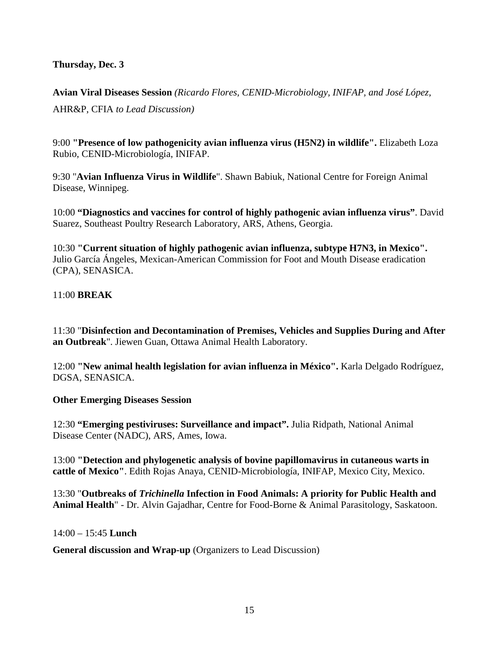#### **Thursday, Dec. 3**

**Avian Viral Diseases Session** *(Ricardo Flores, CENID-Microbiology, INIFAP, and José López,*  AHR&P, CFIA *to Lead Discussion)*

9:00 **"Presence of low pathogenicity avian influenza virus (H5N2) in wildlife".** Elizabeth Loza Rubio, CENID-Microbiología, INIFAP.

9:30 "**Avian Influenza Virus in Wildlife**". Shawn Babiuk, National Centre for Foreign Animal Disease, Winnipeg.

10:00 **"Diagnostics and vaccines for control of highly pathogenic avian influenza virus"**. David Suarez, Southeast Poultry Research Laboratory, ARS, Athens, Georgia.

10:30 **"Current situation of highly pathogenic avian influenza, subtype H7N3, in Mexico".**  Julio García Ángeles, Mexican-American Commission for Foot and Mouth Disease eradication (CPA), SENASICA.

#### 11:00 **BREAK**

11:30 "**Disinfection and Decontamination of Premises, Vehicles and Supplies During and After an Outbreak**". Jiewen Guan, Ottawa Animal Health Laboratory.

12:00 **"New animal health legislation for avian influenza in México".** Karla Delgado Rodríguez, DGSA, SENASICA.

#### **Other Emerging Diseases Session**

12:30 **"Emerging pestiviruses: Surveillance and impact".** Julia Ridpath, National Animal Disease Center (NADC), ARS, Ames, Iowa.

13:00 **"Detection and phylogenetic analysis of bovine papillomavirus in cutaneous warts in cattle of Mexico"**. Edith Rojas Anaya, CENID-Microbiología, INIFAP, Mexico City, Mexico.

13:30 "**Outbreaks of** *Trichinella* **Infection in Food Animals: A priority for Public Health and Animal Health**" - Dr. Alvin Gajadhar, Centre for Food-Borne & Animal Parasitology, Saskatoon.

14:00 – 15:45 **Lunch**

**General discussion and Wrap-up** (Organizers to Lead Discussion)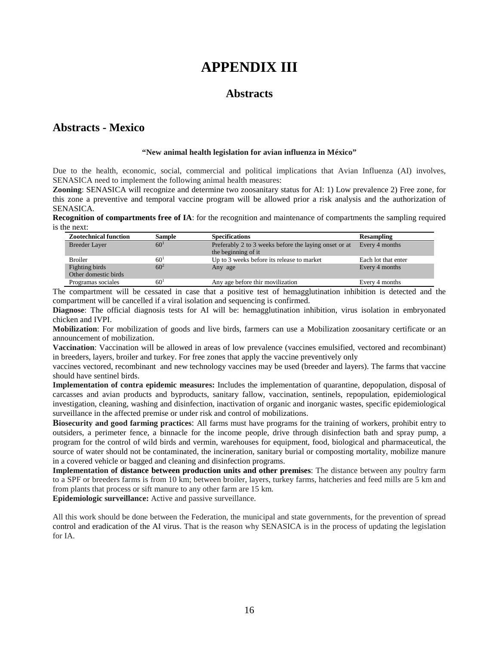# **APPENDIX III**

### **Abstracts**

### <span id="page-15-1"></span><span id="page-15-0"></span>**Abstracts - Mexico**

#### **"New animal health legislation for avian influenza in México"**

Due to the health, economic, social, commercial and political implications that Avian Influenza (AI) involves, SENASICA need to implement the following animal health measures:

**Zooning**: SENASICA will recognize and determine two zoosanitary status for AI: 1) Low prevalence 2) Free zone, for this zone a preventive and temporal vaccine program will be allowed prior a risk analysis and the authorization of SENASICA.

**Recognition of compartments free of IA**: for the recognition and maintenance of compartments the sampling required is the next:

| <b>Zootechnical function</b>           | <b>Sample</b>   | <b>Specifications</b>                                                         | <b>Resampling</b>   |
|----------------------------------------|-----------------|-------------------------------------------------------------------------------|---------------------|
| <b>Breeder Layer</b>                   | 60 <sup>1</sup> | Preferably 2 to 3 weeks before the laying onset or at<br>the beginning of it. | Every 4 months      |
| <b>Broiler</b>                         | 60 <sup>1</sup> | Up to 3 weeks before its release to market                                    | Each lot that enter |
| Fighting birds<br>Other domestic birds | $60^{2}$        | Any age                                                                       | Every 4 months      |
| Programas sociales                     | 60 <sup>1</sup> | Any age before thir movilization                                              | Every 4 months      |

The compartment will be cessated in case that a positive test of hemagglutination inhibition is detected and the compartment will be cancelled if a viral isolation and sequencing is confirmed.

**Diagnose**: The official diagnosis tests for AI will be: hemagglutination inhibition, virus isolation in embryonated chicken and IVPI.

**Mobilization**: For mobilization of goods and live birds, farmers can use a Mobilization zoosanitary certificate or an announcement of mobilization.

**Vaccination**: Vaccination will be allowed in areas of low prevalence (vaccines emulsified, vectored and recombinant) in breeders, layers, broiler and turkey. For free zones that apply the vaccine preventively only

vaccines vectored, recombinant and new technology vaccines may be used (breeder and layers). The farms that vaccine should have sentinel birds.

**Implementation of contra epidemic measures:** Includes the implementation of quarantine, depopulation, disposal of carcasses and avian products and byproducts, sanitary fallow, vaccination, sentinels, repopulation, epidemiological investigation, cleaning, washing and disinfection, inactivation of organic and inorganic wastes, specific epidemiological surveillance in the affected premise or under risk and control of mobilizations.

**Biosecurity and good farming practices**: All farms must have programs for the training of workers, prohibit entry to outsiders, a perimeter fence, a binnacle for the income people, drive through disinfection bath and spray pump, a program for the control of wild birds and vermin, warehouses for equipment, food, biological and pharmaceutical, the source of water should not be contaminated, the incineration, sanitary burial or composting mortality, mobilize manure in a covered vehicle or bagged and cleaning and disinfection programs.

**Implementation of distance between production units and other premises**: The distance between any poultry farm to a SPF or breeders farms is from 10 km; between broiler, layers, turkey farms, hatcheries and feed mills are 5 km and from plants that process or sift manure to any other farm are 15 km.

**Epidemiologic surveillance:** Active and passive surveillance.

All this work should be done between the Federation, the municipal and state governments, for the prevention of spread control and eradication of the AI virus. That is the reason why SENASICA is in the process of updating the legislation for IA.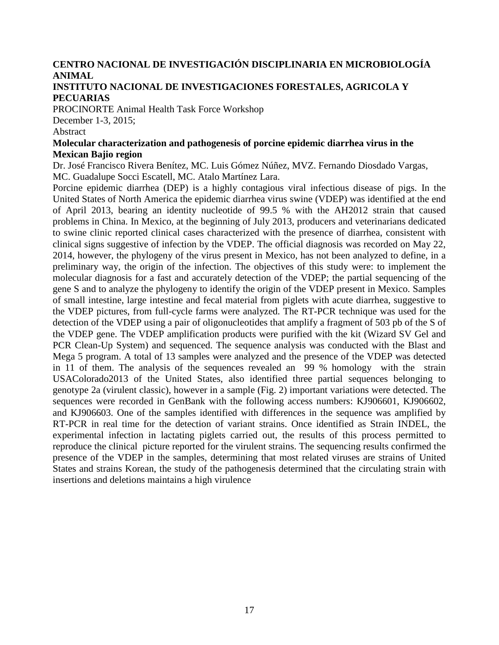# **CENTRO NACIONAL DE INVESTIGACIÓN DISCIPLINARIA EN MICROBIOLOGÍA ANIMAL**

#### **INSTITUTO NACIONAL DE INVESTIGACIONES FORESTALES, AGRICOLA Y PECUARIAS**

PROCINORTE Animal Health Task Force Workshop

December 1-3, 2015;

#### Abstract

#### **Molecular characterization and pathogenesis of porcine epidemic diarrhea virus in the Mexican Bajio region**

Dr. José Francisco Rivera Benítez, MC. Luis Gómez Núñez, MVZ. Fernando Diosdado Vargas, MC. Guadalupe Socci Escatell, MC. Atalo Martínez Lara.

Porcine epidemic diarrhea (DEP) is a highly contagious viral infectious disease of pigs. In the United States of North America the epidemic diarrhea virus swine (VDEP) was identified at the end of April 2013, bearing an identity nucleotide of 99.5 % with the AH2012 strain that caused problems in China. In Mexico, at the beginning of July 2013, producers and veterinarians dedicated to swine clinic reported clinical cases characterized with the presence of diarrhea, consistent with clinical signs suggestive of infection by the VDEP. The official diagnosis was recorded on May 22, 2014, however, the phylogeny of the virus present in Mexico, has not been analyzed to define, in a preliminary way, the origin of the infection. The objectives of this study were: to implement the molecular diagnosis for a fast and accurately detection of the VDEP; the partial sequencing of the gene S and to analyze the phylogeny to identify the origin of the VDEP present in Mexico. Samples of small intestine, large intestine and fecal material from piglets with acute diarrhea, suggestive to the VDEP pictures, from full-cycle farms were analyzed. The RT-PCR technique was used for the detection of the VDEP using a pair of oligonucleotides that amplify a fragment of 503 pb of the S of the VDEP gene. The VDEP amplification products were purified with the kit (Wizard SV Gel and PCR Clean-Up System) and sequenced. The sequence analysis was conducted with the Blast and Mega 5 program. A total of 13 samples were analyzed and the presence of the VDEP was detected in 11 of them. The analysis of the sequences revealed an 99 % homology with the strain USAColorado2013 of the United States, also identified three partial sequences belonging to genotype 2a (virulent classic), however in a sample (Fig. 2) important variations were detected. The sequences were recorded in GenBank with the following access numbers: KJ906601, KJ906602, and KJ906603. One of the samples identified with differences in the sequence was amplified by RT-PCR in real time for the detection of variant strains. Once identified as Strain INDEL, the experimental infection in lactating piglets carried out, the results of this process permitted to reproduce the clinical picture reported for the virulent strains. The sequencing results confirmed the presence of the VDEP in the samples, determining that most related viruses are strains of United States and strains Korean, the study of the pathogenesis determined that the circulating strain with insertions and deletions maintains a high virulence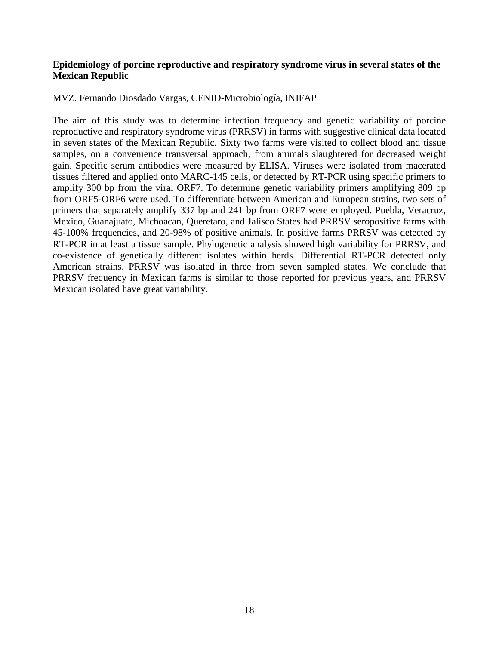#### **Epidemiology of porcine reproductive and respiratory syndrome virus in several states of the Mexican Republic**

MVZ. Fernando Diosdado Vargas, CENID-Microbiología, INIFAP

The aim of this study was to determine infection frequency and genetic variability of porcine reproductive and respiratory syndrome virus (PRRSV) in farms with suggestive clinical data located in seven states of the Mexican Republic. Sixty two farms were visited to collect blood and tissue samples, on a convenience transversal approach, from animals slaughtered for decreased weight gain. Specific serum antibodies were measured by ELISA. Viruses were isolated from macerated tissues filtered and applied onto MARC-145 cells, or detected by RT-PCR using specific primers to amplify 300 bp from the viral ORF7. To determine genetic variability primers amplifying 809 bp from ORF5-ORF6 were used. To differentiate between American and European strains, two sets of primers that separately amplify 337 bp and 241 bp from ORF7 were employed. Puebla, Veracruz, Mexico, Guanajuato, Michoacan, Queretaro, and Jalisco States had PRRSV seropositive farms with 45-100% frequencies, and 20-98% of positive animals. In positive farms PRRSV was detected by RT-PCR in at least a tissue sample. Phylogenetic analysis showed high variability for PRRSV, and co-existence of genetically different isolates within herds. Differential RT-PCR detected only American strains. PRRSV was isolated in three from seven sampled states. We conclude that PRRSV frequency in Mexican farms is similar to those reported for previous years, and PRRSV Mexican isolated have great variability.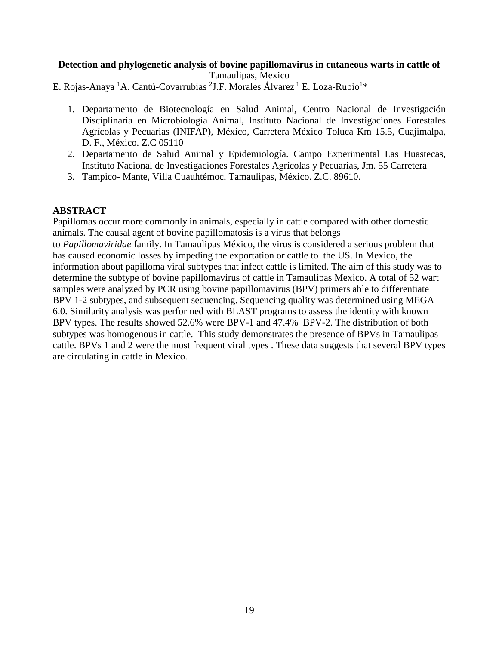#### **Detection and phylogenetic analysis of bovine papillomavirus in cutaneous warts in cattle of** Tamaulipas, Mexico

E. Rojas-Anaya <sup>1</sup>A. Cantú-Covarrubias <sup>2</sup>J.F. Morales Álvarez <sup>1</sup> E. Loza-Rubio<sup>1</sup>\*

- 1. Departamento de Biotecnología en Salud Animal, Centro Nacional de Investigación Disciplinaria en Microbiología Animal, Instituto Nacional de Investigaciones Forestales Agrícolas y Pecuarias (INIFAP), México, Carretera México Toluca Km 15.5, Cuajimalpa, D. F., México. Z.C 05110
- 2. Departamento de Salud Animal y Epidemiología. Campo Experimental Las Huastecas, Instituto Nacional de Investigaciones Forestales Agrícolas y Pecuarias, Jm. 55 Carretera
- 3. Tampico- Mante, Villa Cuauhtémoc, Tamaulipas, México. Z.C. 89610.

#### **ABSTRACT**

Papillomas occur more commonly in animals, especially in cattle compared with other domestic animals. The causal agent of bovine papillomatosis is a virus that belongs

to *Papillomaviridae* family. In Tamaulipas México, the virus is considered a serious problem that has caused economic losses by impeding the exportation or cattle to the US. In Mexico, the information about papilloma viral subtypes that infect cattle is limited. The aim of this study was to determine the subtype of bovine papillomavirus of cattle in Tamaulipas Mexico. A total of 52 wart samples were analyzed by PCR using bovine papillomavirus (BPV) primers able to differentiate BPV 1-2 subtypes, and subsequent sequencing. Sequencing quality was determined using MEGA 6.0. Similarity analysis was performed with BLAST programs to assess the identity with known BPV types. The results showed 52.6% were BPV-1 and 47.4% BPV-2. The distribution of both subtypes was homogenous in cattle. This study demonstrates the presence of BPVs in Tamaulipas cattle. BPVs 1 and 2 were the most frequent viral types . These data suggests that several BPV types are circulating in cattle in Mexico.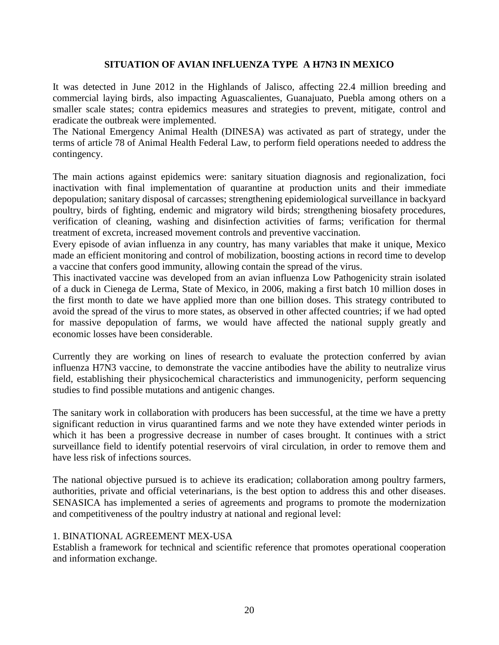#### **SITUATION OF AVIAN INFLUENZA TYPE A H7N3 IN MEXICO**

It was detected in June 2012 in the Highlands of Jalisco, affecting 22.4 million breeding and commercial laying birds, also impacting Aguascalientes, Guanajuato, Puebla among others on a smaller scale states; contra epidemics measures and strategies to prevent, mitigate, control and eradicate the outbreak were implemented.

The National Emergency Animal Health (DINESA) was activated as part of strategy, under the terms of article 78 of Animal Health Federal Law, to perform field operations needed to address the contingency.

The main actions against epidemics were: sanitary situation diagnosis and regionalization, foci inactivation with final implementation of quarantine at production units and their immediate depopulation; sanitary disposal of carcasses; strengthening epidemiological surveillance in backyard poultry, birds of fighting, endemic and migratory wild birds; strengthening biosafety procedures, verification of cleaning, washing and disinfection activities of farms; verification for thermal treatment of excreta, increased movement controls and preventive vaccination.

Every episode of avian influenza in any country, has many variables that make it unique, Mexico made an efficient monitoring and control of mobilization, boosting actions in record time to develop a vaccine that confers good immunity, allowing contain the spread of the virus.

This inactivated vaccine was developed from an avian influenza Low Pathogenicity strain isolated of a duck in Cienega de Lerma, State of Mexico, in 2006, making a first batch 10 million doses in the first month to date we have applied more than one billion doses. This strategy contributed to avoid the spread of the virus to more states, as observed in other affected countries; if we had opted for massive depopulation of farms, we would have affected the national supply greatly and economic losses have been considerable.

Currently they are working on lines of research to evaluate the protection conferred by avian influenza H7N3 vaccine, to demonstrate the vaccine antibodies have the ability to neutralize virus field, establishing their physicochemical characteristics and immunogenicity, perform sequencing studies to find possible mutations and antigenic changes.

The sanitary work in collaboration with producers has been successful, at the time we have a pretty significant reduction in virus quarantined farms and we note they have extended winter periods in which it has been a progressive decrease in number of cases brought. It continues with a strict surveillance field to identify potential reservoirs of viral circulation, in order to remove them and have less risk of infections sources.

The national objective pursued is to achieve its eradication; collaboration among poultry farmers, authorities, private and official veterinarians, is the best option to address this and other diseases. SENASICA has implemented a series of agreements and programs to promote the modernization and competitiveness of the poultry industry at national and regional level:

#### 1. BINATIONAL AGREEMENT MEX-USA

Establish a framework for technical and scientific reference that promotes operational cooperation and information exchange.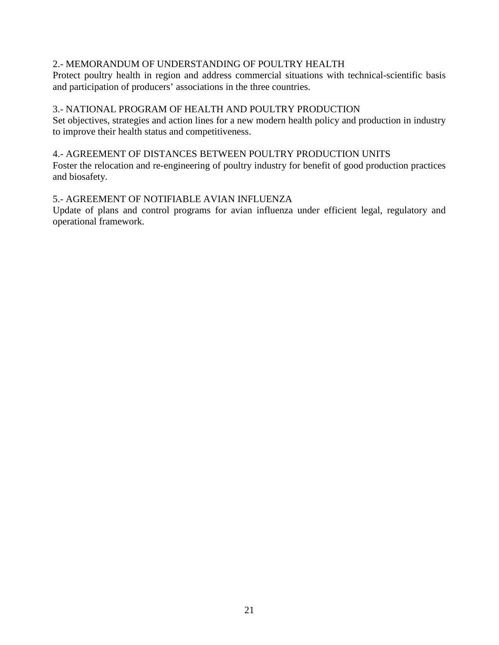#### 2.- MEMORANDUM OF UNDERSTANDING OF POULTRY HEALTH

Protect poultry health in region and address commercial situations with technical-scientific basis and participation of producers' associations in the three countries.

#### 3.- NATIONAL PROGRAM OF HEALTH AND POULTRY PRODUCTION

Set objectives, strategies and action lines for a new modern health policy and production in industry to improve their health status and competitiveness.

#### 4.- AGREEMENT OF DISTANCES BETWEEN POULTRY PRODUCTION UNITS

Foster the relocation and re-engineering of poultry industry for benefit of good production practices and biosafety.

#### 5.- AGREEMENT OF NOTIFIABLE AVIAN INFLUENZA

Update of plans and control programs for avian influenza under efficient legal, regulatory and operational framework.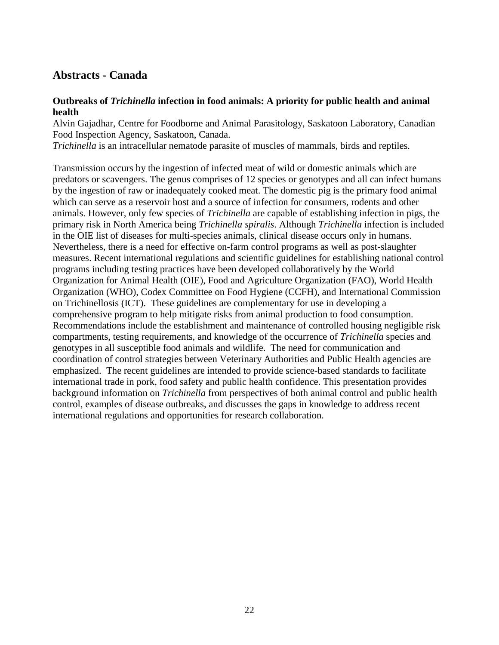# <span id="page-21-0"></span>**Abstracts - Canada**

#### **Outbreaks of** *Trichinella* **infection in food animals: A priority for public health and animal health**

Alvin Gajadhar, Centre for Foodborne and Animal Parasitology, Saskatoon Laboratory, Canadian Food Inspection Agency, Saskatoon, Canada.

*Trichinella* is an intracellular nematode parasite of muscles of mammals, birds and reptiles.

Transmission occurs by the ingestion of infected meat of wild or domestic animals which are predators or scavengers. The genus comprises of 12 species or genotypes and all can infect humans by the ingestion of raw or inadequately cooked meat. The domestic pig is the primary food animal which can serve as a reservoir host and a source of infection for consumers, rodents and other animals. However, only few species of *Trichinella* are capable of establishing infection in pigs, the primary risk in North America being *Trichinella spiralis*. Although *Trichinella* infection is included in the OIE list of diseases for multi-species animals, clinical disease occurs only in humans. Nevertheless, there is a need for effective on-farm control programs as well as post-slaughter measures. Recent international regulations and scientific guidelines for establishing national control programs including testing practices have been developed collaboratively by the World Organization for Animal Health (OIE), Food and Agriculture Organization (FAO), World Health Organization (WHO), Codex Committee on Food Hygiene (CCFH), and International Commission on Trichinellosis (ICT). These guidelines are complementary for use in developing a comprehensive program to help mitigate risks from animal production to food consumption. Recommendations include the establishment and maintenance of controlled housing negligible risk compartments, testing requirements, and knowledge of the occurrence of *Trichinella* species and genotypes in all susceptible food animals and wildlife. The need for communication and coordination of control strategies between Veterinary Authorities and Public Health agencies are emphasized. The recent guidelines are intended to provide science-based standards to facilitate international trade in pork, food safety and public health confidence. This presentation provides background information on *Trichinella* from perspectives of both animal control and public health control, examples of disease outbreaks, and discusses the gaps in knowledge to address recent international regulations and opportunities for research collaboration.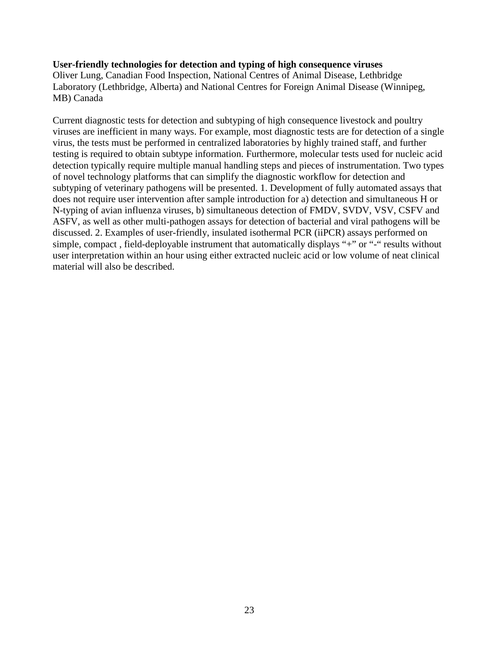#### **User-friendly technologies for detection and typing of high consequence viruses**

Oliver Lung, Canadian Food Inspection, National Centres of Animal Disease, Lethbridge Laboratory (Lethbridge, Alberta) and National Centres for Foreign Animal Disease (Winnipeg, MB) Canada

Current diagnostic tests for detection and subtyping of high consequence livestock and poultry viruses are inefficient in many ways. For example, most diagnostic tests are for detection of a single virus, the tests must be performed in centralized laboratories by highly trained staff, and further testing is required to obtain subtype information. Furthermore, molecular tests used for nucleic acid detection typically require multiple manual handling steps and pieces of instrumentation. Two types of novel technology platforms that can simplify the diagnostic workflow for detection and subtyping of veterinary pathogens will be presented. 1. Development of fully automated assays that does not require user intervention after sample introduction for a) detection and simultaneous H or N-typing of avian influenza viruses, b) simultaneous detection of FMDV, SVDV, VSV, CSFV and ASFV, as well as other multi-pathogen assays for detection of bacterial and viral pathogens will be discussed. 2. Examples of user-friendly, insulated isothermal PCR (iiPCR) assays performed on simple, compact, field-deployable instrument that automatically displays "+" or "-" results without user interpretation within an hour using either extracted nucleic acid or low volume of neat clinical material will also be described.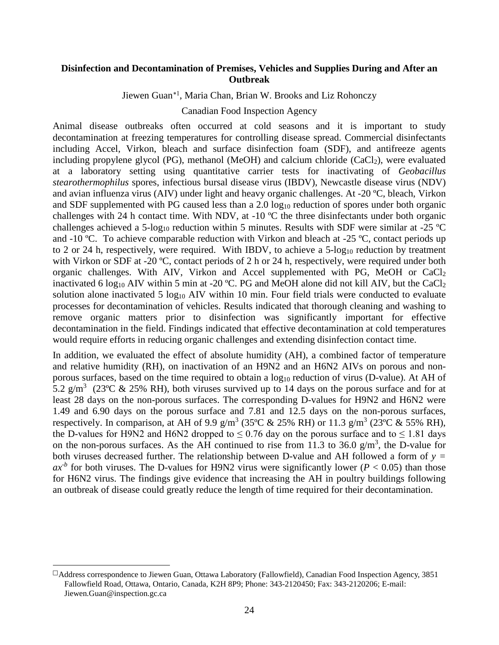#### **Disinfection and Decontamination of Premises, Vehicles and Supplies During and After an Outbreak**

Jiewen Guan[∗1](#page-23-0), Maria Chan, Brian W. Brooks and Liz Rohonczy

Canadian Food Inspection Agency

Animal disease outbreaks often occurred at cold seasons and it is important to study decontamination at freezing temperatures for controlling disease spread. Commercial disinfectants including Accel, Virkon, bleach and surface disinfection foam (SDF), and antifreeze agents including propylene glycol (PG), methanol (MeOH) and calcium chloride  $(CaCl<sub>2</sub>)$ , were evaluated at a laboratory setting using quantitative carrier tests for inactivating of *Geobacillus stearothermophilus* spores, infectious bursal disease virus (IBDV), Newcastle disease virus (NDV) and avian influenza virus (AIV) under light and heavy organic challenges. At -20 ºC, bleach, Virkon and SDF supplemented with PG caused less than a 2.0  $log_{10}$  reduction of spores under both organic challenges with 24 h contact time. With NDV, at -10 ºC the three disinfectants under both organic challenges achieved a 5-log<sub>10</sub> reduction within 5 minutes. Results with SDF were similar at -25  $^{\circ}$ C and -10 °C. To achieve comparable reduction with Virkon and bleach at -25 °C, contact periods up to 2 or 24 h, respectively, were required. With IBDV, to achieve a  $5\text{-log}_{10}$  reduction by treatment with Virkon or SDF at -20 °C, contact periods of 2 h or 24 h, respectively, were required under both organic challenges. With AIV, Virkon and Accel supplemented with PG, MeOH or  $CaCl<sub>2</sub>$ inactivated 6 log<sub>10</sub> AIV within 5 min at -20 °C. PG and MeOH alone did not kill AIV, but the CaCl<sub>2</sub> solution alone inactivated 5  $log_{10}$  AIV within 10 min. Four field trials were conducted to evaluate processes for decontamination of vehicles. Results indicated that thorough cleaning and washing to remove organic matters prior to disinfection was significantly important for effective decontamination in the field. Findings indicated that effective decontamination at cold temperatures would require efforts in reducing organic challenges and extending disinfection contact time.

In addition, we evaluated the effect of absolute humidity (AH), a combined factor of temperature and relative humidity (RH), on inactivation of an H9N2 and an H6N2 AIVs on porous and nonporous surfaces, based on the time required to obtain a  $log_{10}$  reduction of virus (D-value). At AH of 5.2 g/m<sup>3</sup> (23°C & 25% RH), both viruses survived up to 14 days on the porous surface and for at least 28 days on the non-porous surfaces. The corresponding D-values for H9N2 and H6N2 were 1.49 and 6.90 days on the porous surface and 7.81 and 12.5 days on the non-porous surfaces, respectively. In comparison, at AH of 9.9 g/m<sup>3</sup> (35°C & 25% RH) or 11.3 g/m<sup>3</sup> (23°C & 55% RH), the D-values for H9N2 and H6N2 dropped to  $\leq 0.76$  day on the porous surface and to  $\leq 1.81$  days on the non-porous surfaces. As the AH continued to rise from 11.3 to 36.0  $g/m<sup>3</sup>$ , the D-value for both viruses decreased further. The relationship between D-value and AH followed a form of *y =*   $ax<sup>b</sup>$  for both viruses. The D-values for H9N2 virus were significantly lower ( $P < 0.05$ ) than those for H6N2 virus. The findings give evidence that increasing the AH in poultry buildings following an outbreak of disease could greatly reduce the length of time required for their decontamination.

 $\overline{a}$ 

<span id="page-23-0"></span> $\Box$ Address correspondence to Jiewen Guan, Ottawa Laboratory (Fallowfield), Canadian Food Inspection Agency, 3851 Fallowfield Road, Ottawa, Ontario, Canada, K2H 8P9; Phone: 343-2120450; Fax: 343-2120206; E-mail: Jiewen.Guan@inspection.gc.ca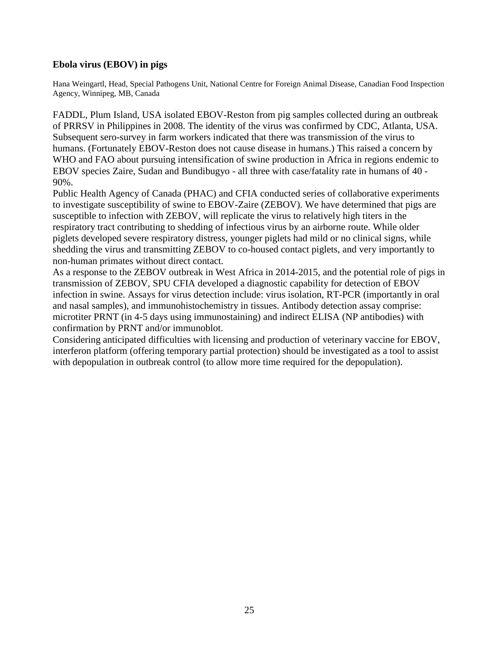#### **Ebola virus (EBOV) in pigs**

Hana Weingartl, Head, Special Pathogens Unit, National Centre for Foreign Animal Disease, Canadian Food Inspection Agency, Winnipeg, MB, Canada

FADDL, Plum Island, USA isolated EBOV-Reston from pig samples collected during an outbreak of PRRSV in Philippines in 2008. The identity of the virus was confirmed by CDC, Atlanta, USA. Subsequent sero-survey in farm workers indicated that there was transmission of the virus to humans. (Fortunately EBOV-Reston does not cause disease in humans.) This raised a concern by WHO and FAO about pursuing intensification of swine production in Africa in regions endemic to EBOV species Zaire, Sudan and Bundibugyo - all three with case/fatality rate in humans of 40 - 90%.

Public Health Agency of Canada (PHAC) and CFIA conducted series of collaborative experiments to investigate susceptibility of swine to EBOV-Zaire (ZEBOV). We have determined that pigs are susceptible to infection with ZEBOV, will replicate the virus to relatively high titers in the respiratory tract contributing to shedding of infectious virus by an airborne route. While older piglets developed severe respiratory distress, younger piglets had mild or no clinical signs, while shedding the virus and transmitting ZEBOV to co-housed contact piglets, and very importantly to non-human primates without direct contact.

As a response to the ZEBOV outbreak in West Africa in 2014-2015, and the potential role of pigs in transmission of ZEBOV, SPU CFIA developed a diagnostic capability for detection of EBOV infection in swine. Assays for virus detection include: virus isolation, RT-PCR (importantly in oral and nasal samples), and immunohistochemistry in tissues. Antibody detection assay comprise: microtiter PRNT (in 4-5 days using immunostaining) and indirect ELISA (NP antibodies) with confirmation by PRNT and/or immunoblot.

Considering anticipated difficulties with licensing and production of veterinary vaccine for EBOV, interferon platform (offering temporary partial protection) should be investigated as a tool to assist with depopulation in outbreak control (to allow more time required for the depopulation).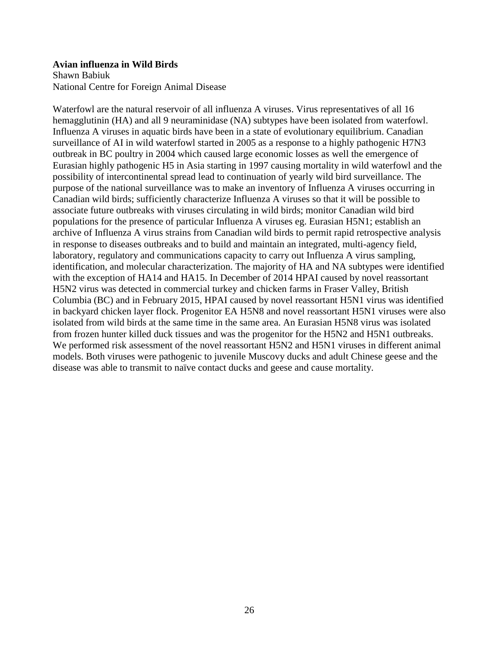#### **Avian influenza in Wild Birds**

Shawn Babiuk National Centre for Foreign Animal Disease

Waterfowl are the natural reservoir of all influenza A viruses. Virus representatives of all 16 hemagglutinin (HA) and all 9 neuraminidase (NA) subtypes have been isolated from waterfowl. Influenza A viruses in aquatic birds have been in a state of evolutionary equilibrium. Canadian surveillance of AI in wild waterfowl started in 2005 as a response to a highly pathogenic H7N3 outbreak in BC poultry in 2004 which caused large economic losses as well the emergence of Eurasian highly pathogenic H5 in Asia starting in 1997 causing mortality in wild waterfowl and the possibility of intercontinental spread lead to continuation of yearly wild bird surveillance. The purpose of the national surveillance was to make an inventory of Influenza A viruses occurring in Canadian wild birds; sufficiently characterize Influenza A viruses so that it will be possible to associate future outbreaks with viruses circulating in wild birds; monitor Canadian wild bird populations for the presence of particular Influenza A viruses eg. Eurasian H5N1; establish an archive of Influenza A virus strains from Canadian wild birds to permit rapid retrospective analysis in response to diseases outbreaks and to build and maintain an integrated, multi-agency field, laboratory, regulatory and communications capacity to carry out Influenza A virus sampling, identification, and molecular characterization. The majority of HA and NA subtypes were identified with the exception of HA14 and HA15. In December of 2014 HPAI caused by novel reassortant H5N2 virus was detected in commercial turkey and chicken farms in Fraser Valley, British Columbia (BC) and in February 2015, HPAI caused by novel reassortant H5N1 virus was identified in backyard chicken layer flock. Progenitor EA H5N8 and novel reassortant H5N1 viruses were also isolated from wild birds at the same time in the same area. An Eurasian H5N8 virus was isolated from frozen hunter killed duck tissues and was the progenitor for the H5N2 and H5N1 outbreaks. We performed risk assessment of the novel reassortant H5N2 and H5N1 viruses in different animal models. Both viruses were pathogenic to juvenile Muscovy ducks and adult Chinese geese and the disease was able to transmit to naïve contact ducks and geese and cause mortality.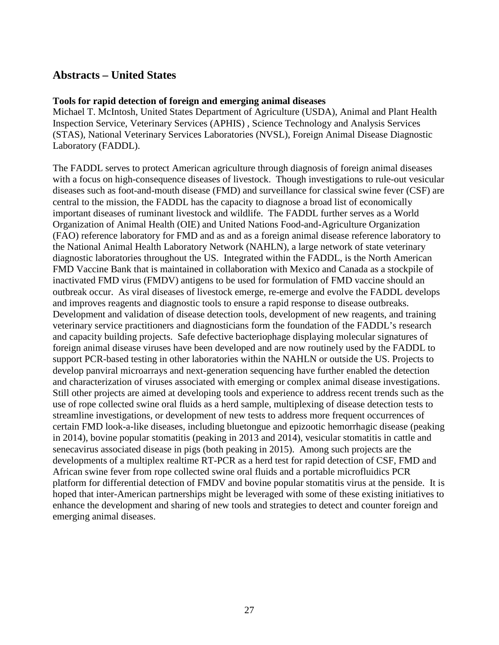### <span id="page-26-0"></span>**Abstracts – United States**

#### **Tools for rapid detection of foreign and emerging animal diseases**

Michael T. McIntosh, United States Department of Agriculture (USDA), Animal and Plant Health Inspection Service, Veterinary Services (APHIS) , Science Technology and Analysis Services (STAS), National Veterinary Services Laboratories (NVSL), Foreign Animal Disease Diagnostic Laboratory (FADDL).

The FADDL serves to protect American agriculture through diagnosis of foreign animal diseases with a focus on high-consequence diseases of livestock. Though investigations to rule-out vesicular diseases such as foot-and-mouth disease (FMD) and surveillance for classical swine fever (CSF) are central to the mission, the FADDL has the capacity to diagnose a broad list of economically important diseases of ruminant livestock and wildlife. The FADDL further serves as a World Organization of Animal Health (OIE) and United Nations Food-and-Agriculture Organization (FAO) reference laboratory for FMD and as and as a foreign animal disease reference laboratory to the National Animal Health Laboratory Network (NAHLN), a large network of state veterinary diagnostic laboratories throughout the US. Integrated within the FADDL, is the North American FMD Vaccine Bank that is maintained in collaboration with Mexico and Canada as a stockpile of inactivated FMD virus (FMDV) antigens to be used for formulation of FMD vaccine should an outbreak occur. As viral diseases of livestock emerge, re-emerge and evolve the FADDL develops and improves reagents and diagnostic tools to ensure a rapid response to disease outbreaks. Development and validation of disease detection tools, development of new reagents, and training veterinary service practitioners and diagnosticians form the foundation of the FADDL's research and capacity building projects. Safe defective bacteriophage displaying molecular signatures of foreign animal disease viruses have been developed and are now routinely used by the FADDL to support PCR-based testing in other laboratories within the NAHLN or outside the US. Projects to develop panviral microarrays and next-generation sequencing have further enabled the detection and characterization of viruses associated with emerging or complex animal disease investigations. Still other projects are aimed at developing tools and experience to address recent trends such as the use of rope collected swine oral fluids as a herd sample, multiplexing of disease detection tests to streamline investigations, or development of new tests to address more frequent occurrences of certain FMD look-a-like diseases, including bluetongue and epizootic hemorrhagic disease (peaking in 2014), bovine popular stomatitis (peaking in 2013 and 2014), vesicular stomatitis in cattle and senecavirus associated disease in pigs (both peaking in 2015). Among such projects are the developments of a multiplex realtime RT-PCR as a herd test for rapid detection of CSF, FMD and African swine fever from rope collected swine oral fluids and a portable microfluidics PCR platform for differential detection of FMDV and bovine popular stomatitis virus at the penside. It is hoped that inter-American partnerships might be leveraged with some of these existing initiatives to enhance the development and sharing of new tools and strategies to detect and counter foreign and emerging animal diseases.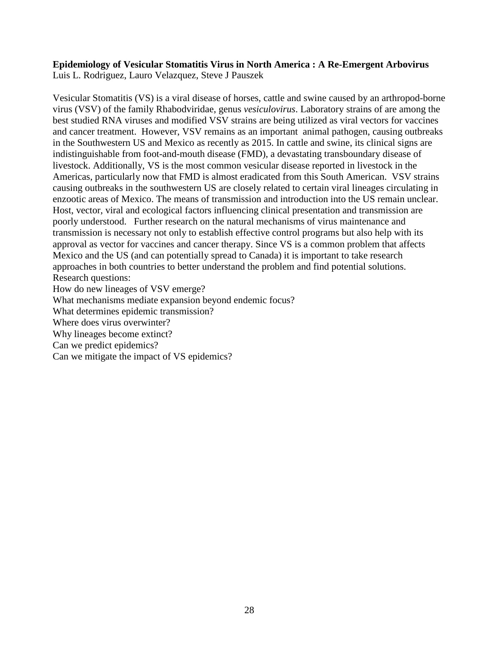#### **Epidemiology of Vesicular Stomatitis Virus in North America : A Re-Emergent Arbovirus** Luis L. Rodriguez, Lauro Velazquez, Steve J Pauszek

Vesicular Stomatitis (VS) is a viral disease of horses, cattle and swine caused by an arthropod-borne virus (VSV) of the family Rhabodviridae, genus *vesiculovirus*. Laboratory strains of are among the best studied RNA viruses and modified VSV strains are being utilized as viral vectors for vaccines and cancer treatment. However, VSV remains as an important animal pathogen, causing outbreaks in the Southwestern US and Mexico as recently as 2015. In cattle and swine, its clinical signs are indistinguishable from foot-and-mouth disease (FMD), a devastating transboundary disease of livestock. Additionally, VS is the most common vesicular disease reported in livestock in the Americas, particularly now that FMD is almost eradicated from this South American. VSV strains causing outbreaks in the southwestern US are closely related to certain viral lineages circulating in enzootic areas of Mexico. The means of transmission and introduction into the US remain unclear. Host, vector, viral and ecological factors influencing clinical presentation and transmission are poorly understood. Further research on the natural mechanisms of virus maintenance and transmission is necessary not only to establish effective control programs but also help with its approval as vector for vaccines and cancer therapy. Since VS is a common problem that affects Mexico and the US (and can potentially spread to Canada) it is important to take research approaches in both countries to better understand the problem and find potential solutions. Research questions:

How do new lineages of VSV emerge?

What mechanisms mediate expansion beyond endemic focus?

What determines epidemic transmission?

Where does virus overwinter?

Why lineages become extinct?

Can we predict epidemics?

Can we mitigate the impact of VS epidemics?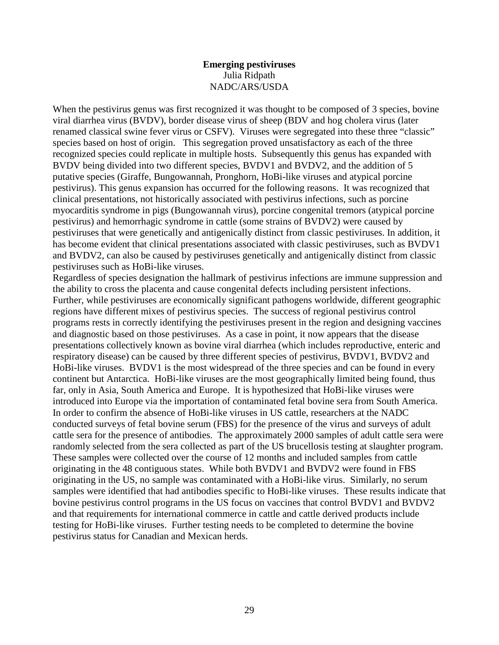#### **Emerging pestiviruses** Julia Ridpath NADC/ARS/USDA

When the pestivirus genus was first recognized it was thought to be composed of 3 species, bovine viral diarrhea virus (BVDV), border disease virus of sheep (BDV and hog cholera virus (later renamed classical swine fever virus or CSFV). Viruses were segregated into these three "classic" species based on host of origin. This segregation proved unsatisfactory as each of the three recognized species could replicate in multiple hosts. Subsequently this genus has expanded with BVDV being divided into two different species, BVDV1 and BVDV2, and the addition of 5 putative species (Giraffe, Bungowannah, Pronghorn, HoBi-like viruses and atypical porcine pestivirus). This genus expansion has occurred for the following reasons. It was recognized that clinical presentations, not historically associated with pestivirus infections, such as porcine myocarditis syndrome in pigs (Bungowannah virus), porcine congenital tremors (atypical porcine pestivirus) and hemorrhagic syndrome in cattle (some strains of BVDV2) were caused by pestiviruses that were genetically and antigenically distinct from classic pestiviruses. In addition, it has become evident that clinical presentations associated with classic pestiviruses, such as BVDV1 and BVDV2, can also be caused by pestiviruses genetically and antigenically distinct from classic pestiviruses such as HoBi-like viruses.

Regardless of species designation the hallmark of pestivirus infections are immune suppression and the ability to cross the placenta and cause congenital defects including persistent infections. Further, while pestiviruses are economically significant pathogens worldwide, different geographic regions have different mixes of pestivirus species. The success of regional pestivirus control programs rests in correctly identifying the pestiviruses present in the region and designing vaccines and diagnostic based on those pestiviruses. As a case in point, it now appears that the disease presentations collectively known as bovine viral diarrhea (which includes reproductive, enteric and respiratory disease) can be caused by three different species of pestivirus, BVDV1, BVDV2 and HoBi-like viruses. BVDV1 is the most widespread of the three species and can be found in every continent but Antarctica. HoBi-like viruses are the most geographically limited being found, thus far, only in Asia, South America and Europe. It is hypothesized that HoBi-like viruses were introduced into Europe via the importation of contaminated fetal bovine sera from South America. In order to confirm the absence of HoBi-like viruses in US cattle, researchers at the NADC conducted surveys of fetal bovine serum (FBS) for the presence of the virus and surveys of adult cattle sera for the presence of antibodies. The approximately 2000 samples of adult cattle sera were randomly selected from the sera collected as part of the US brucellosis testing at slaughter program. These samples were collected over the course of 12 months and included samples from cattle originating in the 48 contiguous states. While both BVDV1 and BVDV2 were found in FBS originating in the US, no sample was contaminated with a HoBi-like virus. Similarly, no serum samples were identified that had antibodies specific to HoBi-like viruses. These results indicate that bovine pestivirus control programs in the US focus on vaccines that control BVDV1 and BVDV2 and that requirements for international commerce in cattle and cattle derived products include testing for HoBi-like viruses. Further testing needs to be completed to determine the bovine pestivirus status for Canadian and Mexican herds.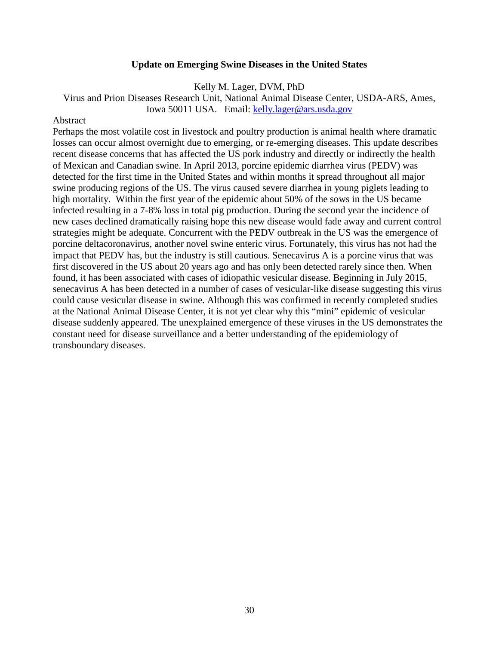#### **Update on Emerging Swine Diseases in the United States**

Kelly M. Lager, DVM, PhD

Virus and Prion Diseases Research Unit, National Animal Disease Center, USDA-ARS, Ames, Iowa 50011 USA. Email: [kelly.lager@ars.usda.gov](mailto:kelly.lager@ars.usda.gov)

#### **Abstract**

Perhaps the most volatile cost in livestock and poultry production is animal health where dramatic losses can occur almost overnight due to emerging, or re-emerging diseases. This update describes recent disease concerns that has affected the US pork industry and directly or indirectly the health of Mexican and Canadian swine. In April 2013, porcine epidemic diarrhea virus (PEDV) was detected for the first time in the United States and within months it spread throughout all major swine producing regions of the US. The virus caused severe diarrhea in young piglets leading to high mortality. Within the first year of the epidemic about 50% of the sows in the US became infected resulting in a 7-8% loss in total pig production. During the second year the incidence of new cases declined dramatically raising hope this new disease would fade away and current control strategies might be adequate. Concurrent with the PEDV outbreak in the US was the emergence of porcine deltacoronavirus, another novel swine enteric virus. Fortunately, this virus has not had the impact that PEDV has, but the industry is still cautious. Senecavirus A is a porcine virus that was first discovered in the US about 20 years ago and has only been detected rarely since then. When found, it has been associated with cases of idiopathic vesicular disease. Beginning in July 2015, senecavirus A has been detected in a number of cases of vesicular-like disease suggesting this virus could cause vesicular disease in swine. Although this was confirmed in recently completed studies at the National Animal Disease Center, it is not yet clear why this "mini" epidemic of vesicular disease suddenly appeared. The unexplained emergence of these viruses in the US demonstrates the constant need for disease surveillance and a better understanding of the epidemiology of transboundary diseases.